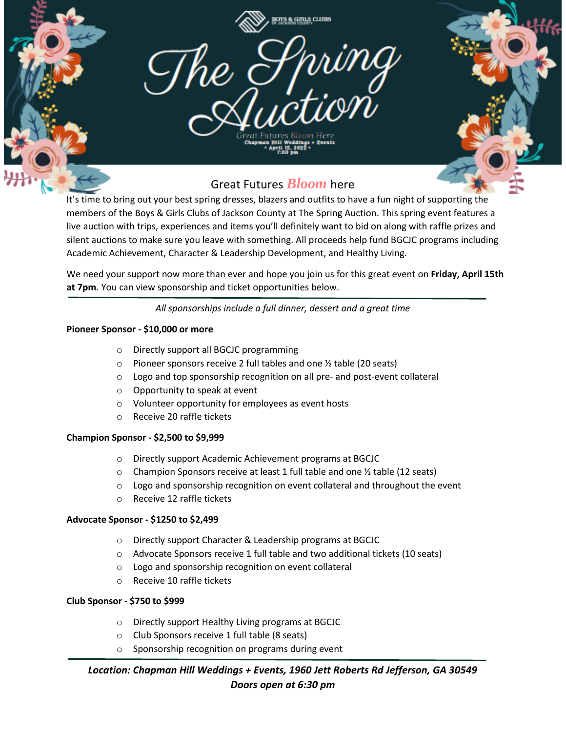

It's time to bring out your best spring dresses, blazers and outfits to have a fun night of supporting the members of the Boys & Girls Clubs of Jackson County at The Spring Auction. This spring event features a live auction with trips, experiences and items you'll definitely want to bid on along with raffle prizes and silent auctions to make sure you leave with something. All proceeds help fund BGCJC programs including Academic Achievement, Character & Leadership Development, and Healthy Living.

We need your support now more than ever and hope you join us for this great event on **Friday, April 15th at 7pm**. You can view sponsorship and ticket opportunities below.

*All sponsorships include a full dinner, dessert and a great time*

## **Pioneer Sponsor - \$10,000 or more**

- o Directly support all BGCJC programming
- $\circ$  Pioneer sponsors receive 2 full tables and one  $\frac{1}{2}$  table (20 seats)
- o Logo and top sponsorship recognition on all pre- and post-event collateral
- o Opportunity to speak at event
- o Volunteer opportunity for employees as event hosts
- o Receive 20 raffle tickets

## **Champion Sponsor - \$2,500 to \$9,999**

- o Directly support Academic Achievement programs at BGCJC
- $\circ$  Champion Sponsors receive at least 1 full table and one  $\frac{1}{2}$  table (12 seats)
- $\circ$  Logo and sponsorship recognition on event collateral and throughout the event
- o Receive 12 raffle tickets

## **Advocate Sponsor - \$1250 to \$2,499**

- o Directly support Character & Leadership programs at BGCJC
- o Advocate Sponsors receive 1 full table and two additional tickets (10 seats)
- o Logo and sponsorship recognition on event collateral
- o Receive 10 raffle tickets

## **Club Sponsor - \$750 to \$999**

- o Directly support Healthy Living programs at BGCJC
- o Club Sponsors receive 1 full table (8 seats)
- o Sponsorship recognition on programs during event